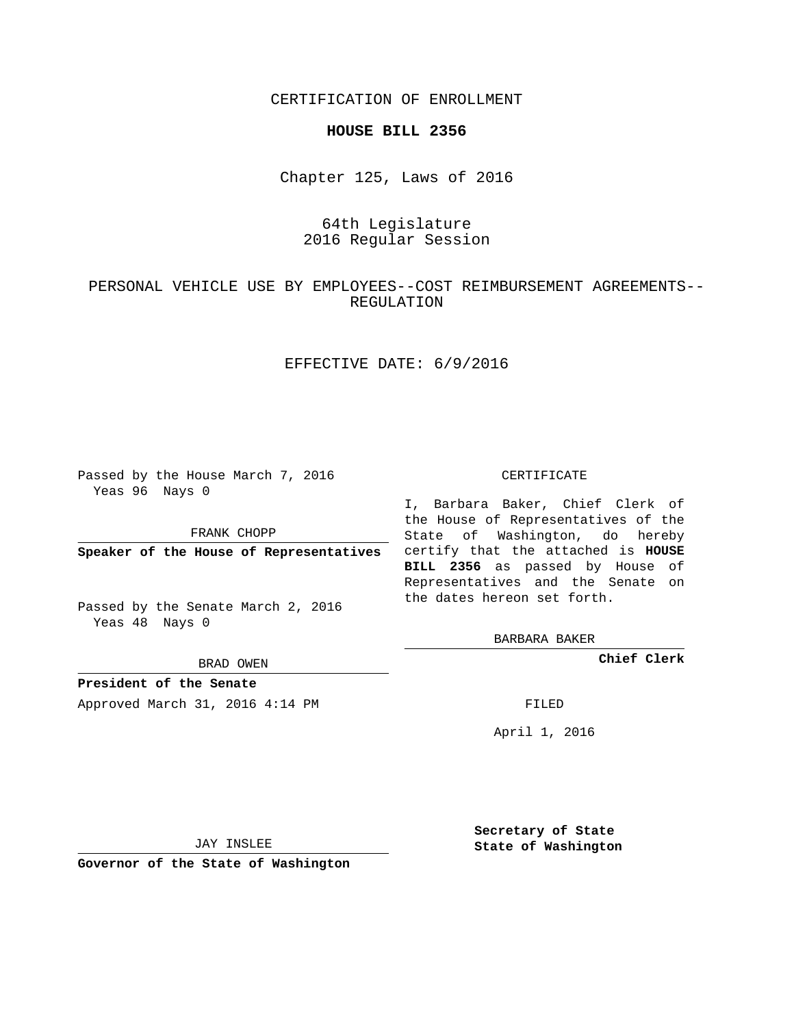CERTIFICATION OF ENROLLMENT

#### **HOUSE BILL 2356**

Chapter 125, Laws of 2016

## 64th Legislature 2016 Regular Session

## PERSONAL VEHICLE USE BY EMPLOYEES--COST REIMBURSEMENT AGREEMENTS-- REGULATION

## EFFECTIVE DATE: 6/9/2016

Passed by the House March 7, 2016 Yeas 96 Nays 0

FRANK CHOPP

Passed by the Senate March 2, 2016 Yeas 48 Nays 0

BRAD OWEN

**President of the Senate**

Approved March 31, 2016 4:14 PM FILED

#### CERTIFICATE

**Speaker of the House of Representatives** certify that the attached is **HOUSE** I, Barbara Baker, Chief Clerk of the House of Representatives of the State of Washington, do hereby **BILL 2356** as passed by House of Representatives and the Senate on the dates hereon set forth.

BARBARA BAKER

**Chief Clerk**

April 1, 2016

JAY INSLEE

**Governor of the State of Washington**

**Secretary of State State of Washington**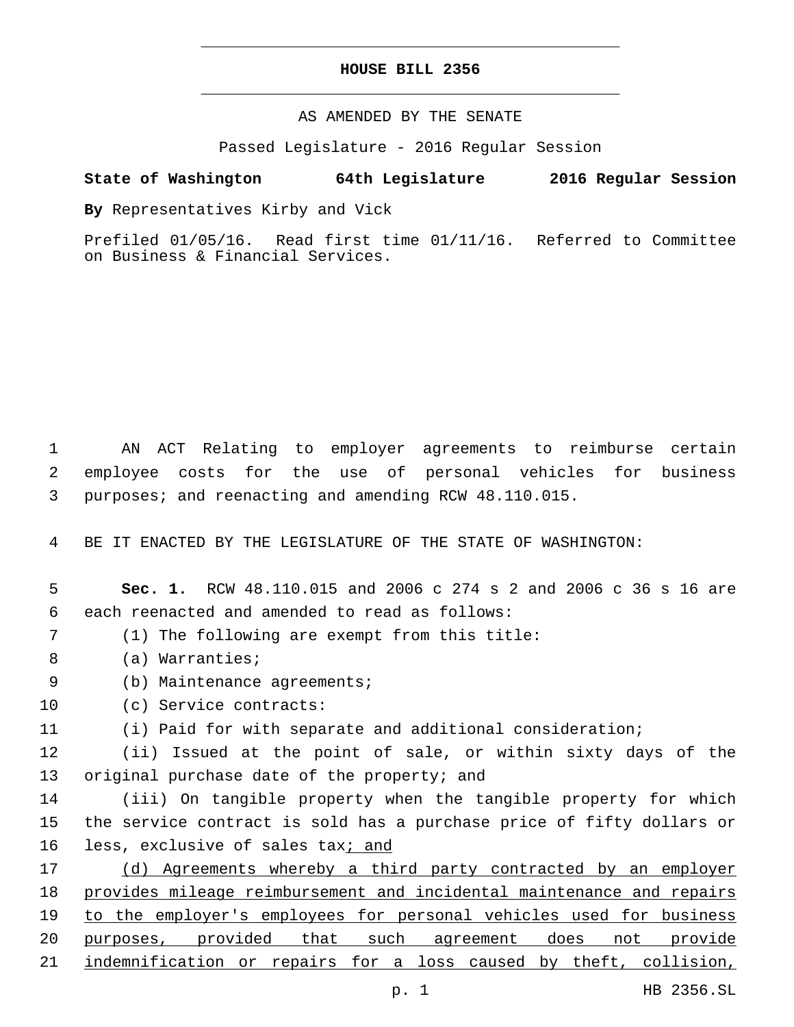### **HOUSE BILL 2356**

AS AMENDED BY THE SENATE

Passed Legislature - 2016 Regular Session

## **State of Washington 64th Legislature 2016 Regular Session**

**By** Representatives Kirby and Vick

Prefiled 01/05/16. Read first time 01/11/16. Referred to Committee on Business & Financial Services.

1 AN ACT Relating to employer agreements to reimburse certain 2 employee costs for the use of personal vehicles for business 3 purposes; and reenacting and amending RCW 48.110.015.

4 BE IT ENACTED BY THE LEGISLATURE OF THE STATE OF WASHINGTON:

# 5 **Sec. 1.** RCW 48.110.015 and 2006 c 274 s 2 and 2006 c 36 s 16 are 6 each reenacted and amended to read as follows:

(1) The following are exempt from this title:7

- 8 (a) Warranties;
- 9 (b) Maintenance agreements;
- 10 (c) Service contracts:
- 11 (i) Paid for with separate and additional consideration;

12 (ii) Issued at the point of sale, or within sixty days of the 13 original purchase date of the property; and

14 (iii) On tangible property when the tangible property for which 15 the service contract is sold has a purchase price of fifty dollars or 16 less, exclusive of sales tax<sub>j and</sub>

17 (d) Agreements whereby a third party contracted by an employer 18 provides mileage reimbursement and incidental maintenance and repairs 19 to the employer's employees for personal vehicles used for business 20 purposes, provided that such agreement does not provide 21 indemnification or repairs for a loss caused by theft, collision,

p. 1 HB 2356.SL